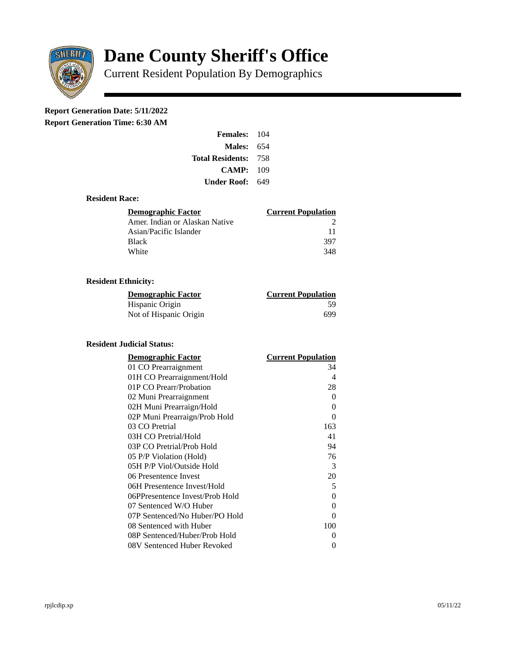

# **Dane County Sheriff's Office**

Current Resident Population By Demographics

# **Report Generation Date: 5/11/2022**

**Report Generation Time: 6:30 AM** 

| <b>Females:</b> 104         |     |
|-----------------------------|-----|
| Males:                      | 654 |
| <b>Total Residents: 758</b> |     |
| CAMP: 109                   |     |
| Under Roof: L               | 649 |

#### **Resident Race:**

| Demographic Factor             | <b>Current Population</b> |
|--------------------------------|---------------------------|
| Amer. Indian or Alaskan Native |                           |
| Asian/Pacific Islander         | 11                        |
| Black                          | 397                       |
| White                          | 348                       |

## **Resident Ethnicity:**

| <u>Demographic Factor</u> | <b>Current Population</b> |
|---------------------------|---------------------------|
| Hispanic Origin           | 59                        |
| Not of Hispanic Origin    | 699                       |

### **Resident Judicial Status:**

| <b>Demographic Factor</b>       | <b>Current Population</b> |
|---------------------------------|---------------------------|
| 01 CO Prearraignment            | 34                        |
| 01H CO Prearraignment/Hold      | $\overline{4}$            |
| 01P CO Prearr/Probation         | 28                        |
| 02 Muni Prearraignment          | 0                         |
| 02H Muni Prearraign/Hold        | 0                         |
| 02P Muni Prearraign/Prob Hold   | 0                         |
| 03 CO Pretrial                  | 163                       |
| 03H CO Pretrial/Hold            | 41                        |
| 03P CO Pretrial/Prob Hold       | 94                        |
| 05 P/P Violation (Hold)         | 76                        |
| 05H P/P Viol/Outside Hold       | 3                         |
| 06 Presentence Invest           | 20                        |
| 06H Presentence Invest/Hold     | 5                         |
| 06PPresentence Invest/Prob Hold | 0                         |
| 07 Sentenced W/O Huber          | 0                         |
| 07P Sentenced/No Huber/PO Hold  | 0                         |
| 08 Sentenced with Huber         | 100                       |
| 08P Sentenced/Huber/Prob Hold   | O                         |
| 08V Sentenced Huber Revoked     | 0                         |